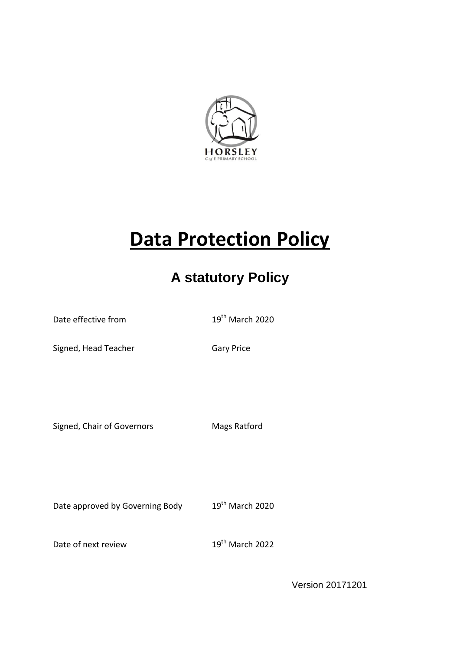

# **Data Protection Policy**

## **A statutory Policy**

Date effective from 19<sup>th</sup> March 2020

Signed, Head Teacher Gary Price

Signed, Chair of Governors Mags Ratford

Date approved by Governing Body 19<sup>th</sup> March 2020

Date of next review 19<sup>th</sup> March 2022

Version 20171201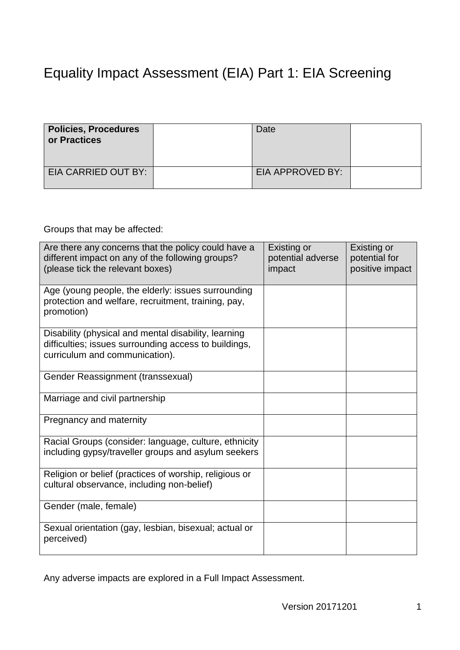## Equality Impact Assessment (EIA) Part 1: EIA Screening

| <b>Policies, Procedures</b><br>or Practices | Date             |  |
|---------------------------------------------|------------------|--|
| EIA CARRIED OUT BY:                         | EIA APPROVED BY: |  |

Groups that may be affected:

| Are there any concerns that the policy could have a<br>different impact on any of the following groups?<br>(please tick the relevant boxes)     | Existing or<br>potential adverse<br>impact | Existing or<br>potential for<br>positive impact |
|-------------------------------------------------------------------------------------------------------------------------------------------------|--------------------------------------------|-------------------------------------------------|
| Age (young people, the elderly: issues surrounding<br>protection and welfare, recruitment, training, pay,<br>promotion)                         |                                            |                                                 |
| Disability (physical and mental disability, learning<br>difficulties; issues surrounding access to buildings,<br>curriculum and communication). |                                            |                                                 |
| Gender Reassignment (transsexual)                                                                                                               |                                            |                                                 |
| Marriage and civil partnership                                                                                                                  |                                            |                                                 |
| Pregnancy and maternity                                                                                                                         |                                            |                                                 |
| Racial Groups (consider: language, culture, ethnicity<br>including gypsy/traveller groups and asylum seekers                                    |                                            |                                                 |
| Religion or belief (practices of worship, religious or<br>cultural observance, including non-belief)                                            |                                            |                                                 |
| Gender (male, female)                                                                                                                           |                                            |                                                 |
| Sexual orientation (gay, lesbian, bisexual; actual or<br>perceived)                                                                             |                                            |                                                 |

Any adverse impacts are explored in a Full Impact Assessment.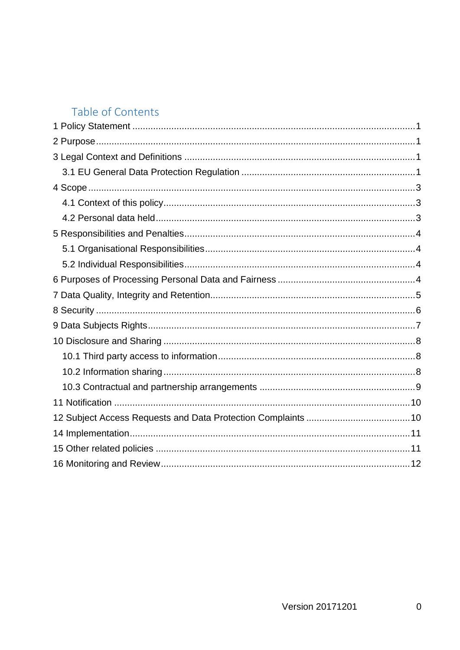### Table of Contents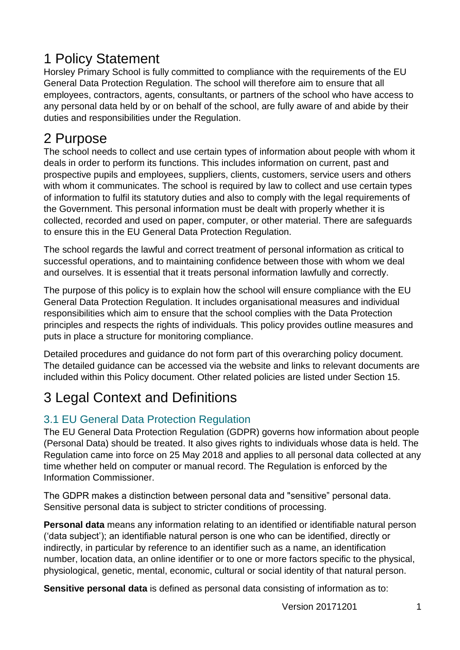## <span id="page-3-0"></span>1 Policy Statement

Horsley Primary School is fully committed to compliance with the requirements of the EU General Data Protection Regulation. The school will therefore aim to ensure that all employees, contractors, agents, consultants, or partners of the school who have access to any personal data held by or on behalf of the school, are fully aware of and abide by their duties and responsibilities under the Regulation.

## <span id="page-3-1"></span>2 Purpose

The school needs to collect and use certain types of information about people with whom it deals in order to perform its functions. This includes information on current, past and prospective pupils and employees, suppliers, clients, customers, service users and others with whom it communicates. The school is required by law to collect and use certain types of information to fulfil its statutory duties and also to comply with the legal requirements of the Government. This personal information must be dealt with properly whether it is collected, recorded and used on paper, computer, or other material. There are safeguards to ensure this in the EU General Data Protection Regulation.

The school regards the lawful and correct treatment of personal information as critical to successful operations, and to maintaining confidence between those with whom we deal and ourselves. It is essential that it treats personal information lawfully and correctly.

The purpose of this policy is to explain how the school will ensure compliance with the EU General Data Protection Regulation. It includes organisational measures and individual responsibilities which aim to ensure that the school complies with the Data Protection principles and respects the rights of individuals. This policy provides outline measures and puts in place a structure for monitoring compliance.

Detailed procedures and guidance do not form part of this overarching policy document. The detailed guidance can be accessed via the website and links to relevant documents are included within this Policy document. Other related policies are listed under Section 15.

## <span id="page-3-2"></span>3 Legal Context and Definitions

#### <span id="page-3-3"></span>3.1 EU General Data Protection Regulation

The EU General Data Protection Regulation (GDPR) governs how information about people (Personal Data) should be treated. It also gives rights to individuals whose data is held. The Regulation came into force on 25 May 2018 and applies to all personal data collected at any time whether held on computer or manual record. The Regulation is enforced by the Information Commissioner.

The GDPR makes a distinction between personal data and "sensitive" personal data. Sensitive personal data is subject to stricter conditions of processing.

**Personal data** means any information relating to an identified or identifiable natural person ('data subject'); an identifiable natural person is one who can be identified, directly or indirectly, in particular by reference to an identifier such as a name, an identification number, location data, an online identifier or to one or more factors specific to the physical, physiological, genetic, mental, economic, cultural or social identity of that natural person.

**Sensitive personal data** is defined as personal data consisting of information as to: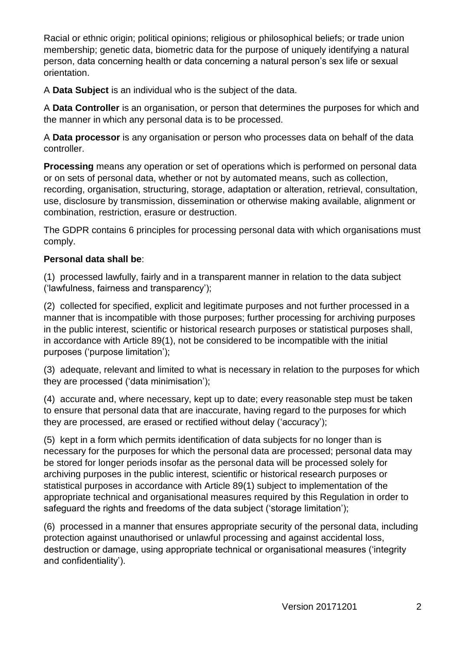Racial or ethnic origin; political opinions; religious or philosophical beliefs; or trade union membership; genetic data, biometric data for the purpose of uniquely identifying a natural person, data concerning health or data concerning a natural person's sex life or sexual orientation.

A **Data Subject** is an individual who is the subject of the data.

A **Data Controller** is an organisation, or person that determines the purposes for which and the manner in which any personal data is to be processed.

A **Data processor** is any organisation or person who processes data on behalf of the data controller.

**Processing** means any operation or set of operations which is performed on personal data or on sets of personal data, whether or not by automated means, such as collection, recording, organisation, structuring, storage, adaptation or alteration, retrieval, consultation, use, disclosure by transmission, dissemination or otherwise making available, alignment or combination, restriction, erasure or destruction.

The GDPR contains 6 principles for processing personal data with which organisations must comply.

#### **Personal data shall be**:

(1) processed lawfully, fairly and in a transparent manner in relation to the data subject ('lawfulness, fairness and transparency');

(2) collected for specified, explicit and legitimate purposes and not further processed in a manner that is incompatible with those purposes; further processing for archiving purposes in the public interest, scientific or historical research purposes or statistical purposes shall, in accordance with Article 89(1), not be considered to be incompatible with the initial purposes ('purpose limitation');

(3) adequate, relevant and limited to what is necessary in relation to the purposes for which they are processed ('data minimisation');

(4) accurate and, where necessary, kept up to date; every reasonable step must be taken to ensure that personal data that are inaccurate, having regard to the purposes for which they are processed, are erased or rectified without delay ('accuracy');

(5) kept in a form which permits identification of data subjects for no longer than is necessary for the purposes for which the personal data are processed; personal data may be stored for longer periods insofar as the personal data will be processed solely for archiving purposes in the public interest, scientific or historical research purposes or statistical purposes in accordance with Article 89(1) subject to implementation of the appropriate technical and organisational measures required by this Regulation in order to safeguard the rights and freedoms of the data subject ('storage limitation');

(6) processed in a manner that ensures appropriate security of the personal data, including protection against unauthorised or unlawful processing and against accidental loss, destruction or damage, using appropriate technical or organisational measures ('integrity and confidentiality').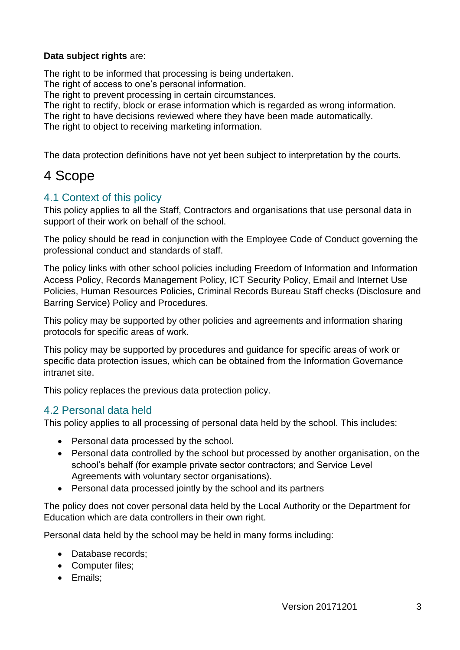#### **Data subject rights** are:

The right to be informed that processing is being undertaken.

The right of access to one's personal information.

The right to prevent processing in certain circumstances.

The right to rectify, block or erase information which is regarded as wrong information.

The right to have decisions reviewed where they have been made automatically.

The right to object to receiving marketing information.

The data protection definitions have not yet been subject to interpretation by the courts.

### <span id="page-5-0"></span>4 Scope

#### <span id="page-5-1"></span>4.1 Context of this policy

This policy applies to all the Staff, Contractors and organisations that use personal data in support of their work on behalf of the school.

The policy should be read in conjunction with the Employee Code of Conduct governing the professional conduct and standards of staff.

The policy links with other school policies including Freedom of Information and Information Access Policy, Records Management Policy, ICT Security Policy, Email and Internet Use Policies, Human Resources Policies, Criminal Records Bureau Staff checks (Disclosure and Barring Service) Policy and Procedures.

This policy may be supported by other policies and agreements and information sharing protocols for specific areas of work.

This policy may be supported by procedures and guidance for specific areas of work or specific data protection issues, which can be obtained from the Information Governance intranet site.

This policy replaces the previous data protection policy.

#### <span id="page-5-2"></span>4.2 Personal data held

This policy applies to all processing of personal data held by the school. This includes:

- Personal data processed by the school.
- Personal data controlled by the school but processed by another organisation, on the school's behalf (for example private sector contractors; and Service Level Agreements with voluntary sector organisations).
- Personal data processed jointly by the school and its partners

The policy does not cover personal data held by the Local Authority or the Department for Education which are data controllers in their own right.

Personal data held by the school may be held in many forms including:

- Database records:
- Computer files;
- Emails;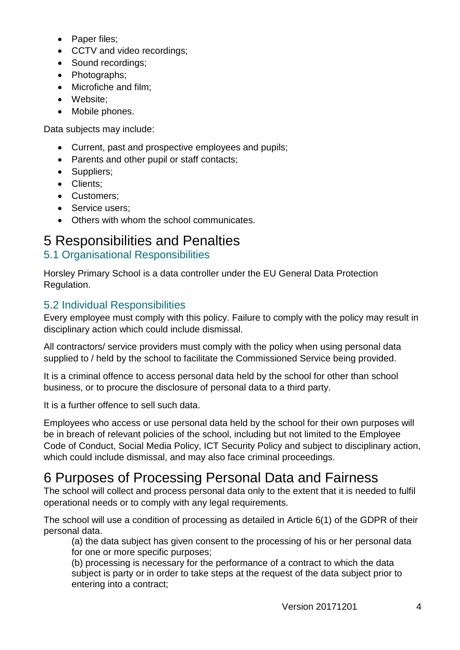- Paper files;
- CCTV and video recordings:
- Sound recordings:
- Photographs:
- Microfiche and film;
- Website:
- Mobile phones.

Data subjects may include:

- Current, past and prospective employees and pupils;
- Parents and other pupil or staff contacts:
- Suppliers;
- Clients:
- Customers;
- Service users:
- Others with whom the school communicates.

## <span id="page-6-0"></span>5 Responsibilities and Penalties

#### <span id="page-6-1"></span>5.1 Organisational Responsibilities

Horsley Primary School is a data controller under the EU General Data Protection Regulation.

#### <span id="page-6-2"></span>5.2 Individual Responsibilities

Every employee must comply with this policy. Failure to comply with the policy may result in disciplinary action which could include dismissal.

All contractors/ service providers must comply with the policy when using personal data supplied to / held by the school to facilitate the Commissioned Service being provided.

It is a criminal offence to access personal data held by the school for other than school business, or to procure the disclosure of personal data to a third party.

It is a further offence to sell such data.

Employees who access or use personal data held by the school for their own purposes will be in breach of relevant policies of the school, including but not limited to the Employee Code of Conduct, Social Media Policy, ICT Security Policy and subject to disciplinary action, which could include dismissal, and may also face criminal proceedings.

## <span id="page-6-3"></span>6 Purposes of Processing Personal Data and Fairness

The school will collect and process personal data only to the extent that it is needed to fulfil operational needs or to comply with any legal requirements.

The school will use a condition of processing as detailed in Article 6(1) of the GDPR of their personal data.

(a) the data subject has given consent to the processing of his or her personal data for one or more specific purposes;

(b) processing is necessary for the performance of a contract to which the data subject is party or in order to take steps at the request of the data subject prior to entering into a contract;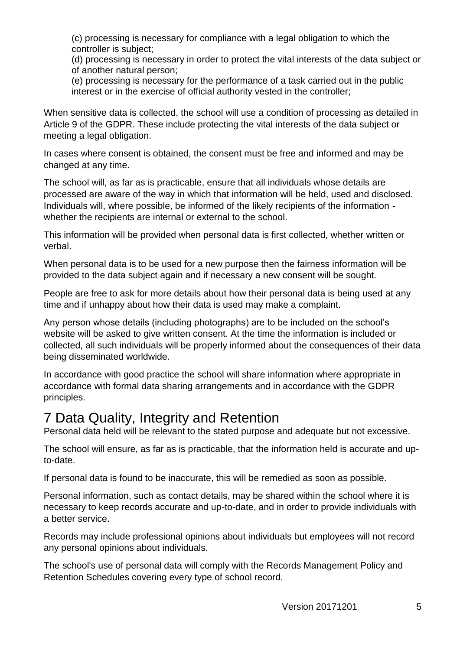(c) processing is necessary for compliance with a legal obligation to which the controller is subject;

(d) processing is necessary in order to protect the vital interests of the data subject or of another natural person;

(e) processing is necessary for the performance of a task carried out in the public interest or in the exercise of official authority vested in the controller;

When sensitive data is collected, the school will use a condition of processing as detailed in Article 9 of the GDPR. These include protecting the vital interests of the data subject or meeting a legal obligation.

In cases where consent is obtained, the consent must be free and informed and may be changed at any time.

The school will, as far as is practicable, ensure that all individuals whose details are processed are aware of the way in which that information will be held, used and disclosed. Individuals will, where possible, be informed of the likely recipients of the information whether the recipients are internal or external to the school.

This information will be provided when personal data is first collected, whether written or verbal.

When personal data is to be used for a new purpose then the fairness information will be provided to the data subject again and if necessary a new consent will be sought.

People are free to ask for more details about how their personal data is being used at any time and if unhappy about how their data is used may make a complaint.

Any person whose details (including photographs) are to be included on the school's website will be asked to give written consent. At the time the information is included or collected, all such individuals will be properly informed about the consequences of their data being disseminated worldwide.

In accordance with good practice the school will share information where appropriate in accordance with formal data sharing arrangements and in accordance with the GDPR principles.

### <span id="page-7-0"></span>7 Data Quality, Integrity and Retention

Personal data held will be relevant to the stated purpose and adequate but not excessive.

The school will ensure, as far as is practicable, that the information held is accurate and upto-date.

If personal data is found to be inaccurate, this will be remedied as soon as possible.

Personal information, such as contact details, may be shared within the school where it is necessary to keep records accurate and up-to-date, and in order to provide individuals with a better service.

Records may include professional opinions about individuals but employees will not record any personal opinions about individuals.

The school's use of personal data will comply with the Records Management Policy and Retention Schedules covering every type of school record.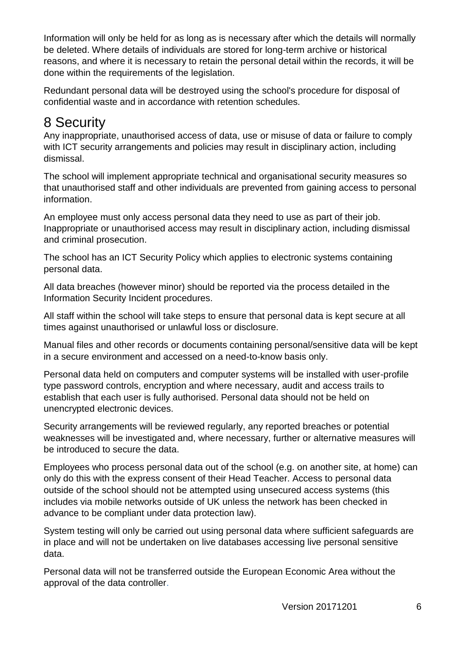Information will only be held for as long as is necessary after which the details will normally be deleted. Where details of individuals are stored for long-term archive or historical reasons, and where it is necessary to retain the personal detail within the records, it will be done within the requirements of the legislation.

Redundant personal data will be destroyed using the school's procedure for disposal of confidential waste and in accordance with retention schedules.

## <span id="page-8-0"></span>8 Security

Any inappropriate, unauthorised access of data, use or misuse of data or failure to comply with ICT security arrangements and policies may result in disciplinary action, including dismissal.

The school will implement appropriate technical and organisational security measures so that unauthorised staff and other individuals are prevented from gaining access to personal information.

An employee must only access personal data they need to use as part of their job. Inappropriate or unauthorised access may result in disciplinary action, including dismissal and criminal prosecution.

The school has an ICT Security Policy which applies to electronic systems containing personal data.

All data breaches (however minor) should be reported via the process detailed in the Information Security Incident procedures.

All staff within the school will take steps to ensure that personal data is kept secure at all times against unauthorised or unlawful loss or disclosure.

Manual files and other records or documents containing personal/sensitive data will be kept in a secure environment and accessed on a need-to-know basis only.

Personal data held on computers and computer systems will be installed with user-profile type password controls, encryption and where necessary, audit and access trails to establish that each user is fully authorised. Personal data should not be held on unencrypted electronic devices.

Security arrangements will be reviewed regularly, any reported breaches or potential weaknesses will be investigated and, where necessary, further or alternative measures will be introduced to secure the data.

Employees who process personal data out of the school (e.g. on another site, at home) can only do this with the express consent of their Head Teacher. Access to personal data outside of the school should not be attempted using unsecured access systems (this includes via mobile networks outside of UK unless the network has been checked in advance to be compliant under data protection law).

System testing will only be carried out using personal data where sufficient safeguards are in place and will not be undertaken on live databases accessing live personal sensitive data.

Personal data will not be transferred outside the European Economic Area without the approval of the data controller.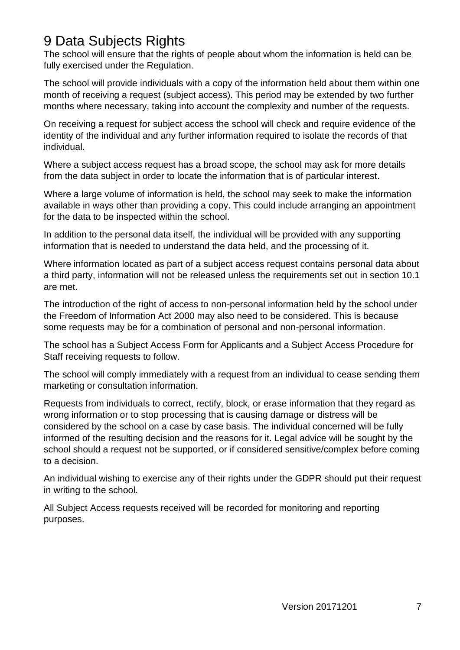### <span id="page-9-0"></span>9 Data Subjects Rights

The school will ensure that the rights of people about whom the information is held can be fully exercised under the Regulation.

The school will provide individuals with a copy of the information held about them within one month of receiving a request (subject access). This period may be extended by two further months where necessary, taking into account the complexity and number of the requests.

On receiving a request for subject access the school will check and require evidence of the identity of the individual and any further information required to isolate the records of that individual.

Where a subject access request has a broad scope, the school may ask for more details from the data subject in order to locate the information that is of particular interest.

Where a large volume of information is held, the school may seek to make the information available in ways other than providing a copy. This could include arranging an appointment for the data to be inspected within the school.

In addition to the personal data itself, the individual will be provided with any supporting information that is needed to understand the data held, and the processing of it.

Where information located as part of a subject access request contains personal data about a third party, information will not be released unless the requirements set out in section 10.1 are met.

The introduction of the right of access to non-personal information held by the school under the Freedom of Information Act 2000 may also need to be considered. This is because some requests may be for a combination of personal and non-personal information.

The school has a Subject Access Form for Applicants and a Subject Access Procedure for Staff receiving requests to follow.

The school will comply immediately with a request from an individual to cease sending them marketing or consultation information.

Requests from individuals to correct, rectify, block, or erase information that they regard as wrong information or to stop processing that is causing damage or distress will be considered by the school on a case by case basis. The individual concerned will be fully informed of the resulting decision and the reasons for it. Legal advice will be sought by the school should a request not be supported, or if considered sensitive/complex before coming to a decision.

An individual wishing to exercise any of their rights under the GDPR should put their request in writing to the school.

All Subject Access requests received will be recorded for monitoring and reporting purposes.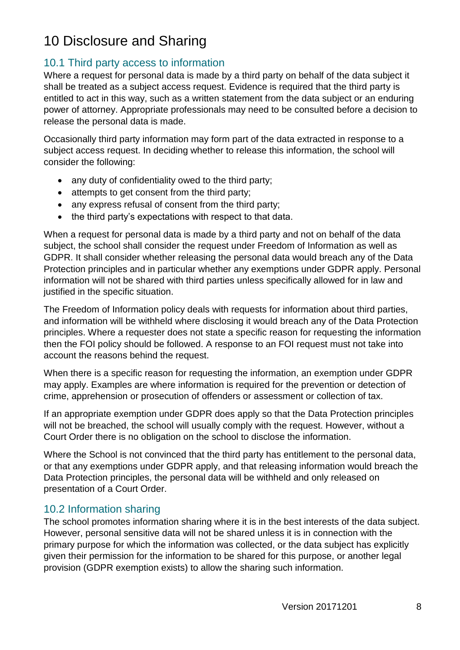## <span id="page-10-0"></span>10 Disclosure and Sharing

#### <span id="page-10-1"></span>10.1 Third party access to information

Where a request for personal data is made by a third party on behalf of the data subject it shall be treated as a subject access request. Evidence is required that the third party is entitled to act in this way, such as a written statement from the data subject or an enduring power of attorney. Appropriate professionals may need to be consulted before a decision to release the personal data is made.

Occasionally third party information may form part of the data extracted in response to a subject access request. In deciding whether to release this information, the school will consider the following:

- any duty of confidentiality owed to the third party;
- attempts to get consent from the third party;
- any express refusal of consent from the third party;
- the third party's expectations with respect to that data.

When a request for personal data is made by a third party and not on behalf of the data subject, the school shall consider the request under Freedom of Information as well as GDPR. It shall consider whether releasing the personal data would breach any of the Data Protection principles and in particular whether any exemptions under GDPR apply. Personal information will not be shared with third parties unless specifically allowed for in law and justified in the specific situation.

The Freedom of Information policy deals with requests for information about third parties, and information will be withheld where disclosing it would breach any of the Data Protection principles. Where a requester does not state a specific reason for requesting the information then the FOI policy should be followed. A response to an FOI request must not take into account the reasons behind the request.

When there is a specific reason for requesting the information, an exemption under GDPR may apply. Examples are where information is required for the prevention or detection of crime, apprehension or prosecution of offenders or assessment or collection of tax.

If an appropriate exemption under GDPR does apply so that the Data Protection principles will not be breached, the school will usually comply with the request. However, without a Court Order there is no obligation on the school to disclose the information.

Where the School is not convinced that the third party has entitlement to the personal data, or that any exemptions under GDPR apply, and that releasing information would breach the Data Protection principles, the personal data will be withheld and only released on presentation of a Court Order.

#### <span id="page-10-2"></span>10.2 Information sharing

The school promotes information sharing where it is in the best interests of the data subject. However, personal sensitive data will not be shared unless it is in connection with the primary purpose for which the information was collected, or the data subject has explicitly given their permission for the information to be shared for this purpose, or another legal provision (GDPR exemption exists) to allow the sharing such information.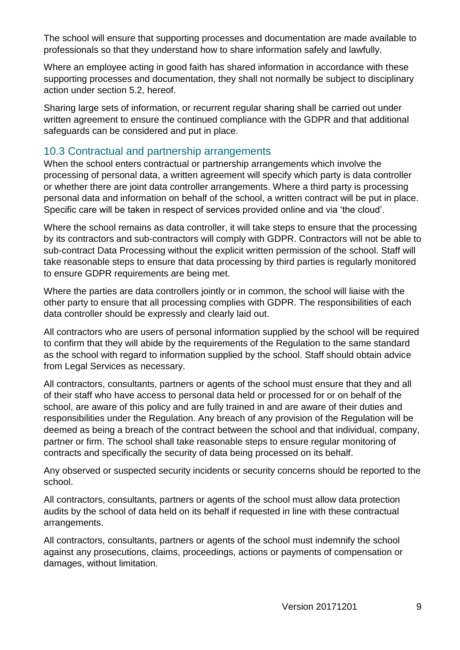The school will ensure that supporting processes and documentation are made available to professionals so that they understand how to share information safely and lawfully.

Where an employee acting in good faith has shared information in accordance with these supporting processes and documentation, they shall not normally be subject to disciplinary action under section 5.2, hereof.

Sharing large sets of information, or recurrent regular sharing shall be carried out under written agreement to ensure the continued compliance with the GDPR and that additional safeguards can be considered and put in place.

#### <span id="page-11-0"></span>10.3 Contractual and partnership arrangements

When the school enters contractual or partnership arrangements which involve the processing of personal data, a written agreement will specify which party is data controller or whether there are joint data controller arrangements. Where a third party is processing personal data and information on behalf of the school, a written contract will be put in place. Specific care will be taken in respect of services provided online and via 'the cloud'.

Where the school remains as data controller, it will take steps to ensure that the processing by its contractors and sub-contractors will comply with GDPR. Contractors will not be able to sub-contract Data Processing without the explicit written permission of the school. Staff will take reasonable steps to ensure that data processing by third parties is regularly monitored to ensure GDPR requirements are being met.

Where the parties are data controllers jointly or in common, the school will liaise with the other party to ensure that all processing complies with GDPR. The responsibilities of each data controller should be expressly and clearly laid out.

All contractors who are users of personal information supplied by the school will be required to confirm that they will abide by the requirements of the Regulation to the same standard as the school with regard to information supplied by the school. Staff should obtain advice from Legal Services as necessary.

All contractors, consultants, partners or agents of the school must ensure that they and all of their staff who have access to personal data held or processed for or on behalf of the school, are aware of this policy and are fully trained in and are aware of their duties and responsibilities under the Regulation. Any breach of any provision of the Regulation will be deemed as being a breach of the contract between the school and that individual, company, partner or firm. The school shall take reasonable steps to ensure regular monitoring of contracts and specifically the security of data being processed on its behalf.

Any observed or suspected security incidents or security concerns should be reported to the school.

All contractors, consultants, partners or agents of the school must allow data protection audits by the school of data held on its behalf if requested in line with these contractual arrangements.

All contractors, consultants, partners or agents of the school must indemnify the school against any prosecutions, claims, proceedings, actions or payments of compensation or damages, without limitation.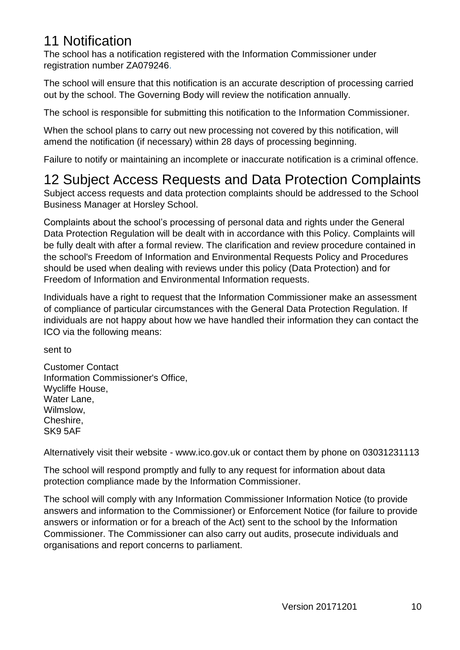### <span id="page-12-0"></span>11 Notification

The school has a notification registered with the Information Commissioner under registration number ZA079246.

The school will ensure that this notification is an accurate description of processing carried out by the school. The Governing Body will review the notification annually.

The school is responsible for submitting this notification to the Information Commissioner.

When the school plans to carry out new processing not covered by this notification, will amend the notification (if necessary) within 28 days of processing beginning.

Failure to notify or maintaining an incomplete or inaccurate notification is a criminal offence.

## <span id="page-12-1"></span>12 Subject Access Requests and Data Protection Complaints

Subject access requests and data protection complaints should be addressed to the School Business Manager at Horsley School.

Complaints about the school's processing of personal data and rights under the General Data Protection Regulation will be dealt with in accordance with this Policy. Complaints will be fully dealt with after a formal review. The clarification and review procedure contained in the school's Freedom of Information and Environmental Requests Policy and Procedures should be used when dealing with reviews under this policy (Data Protection) and for Freedom of Information and Environmental Information requests.

Individuals have a right to request that the Information Commissioner make an assessment of compliance of particular circumstances with the General Data Protection Regulation. If individuals are not happy about how we have handled their information they can contact the ICO via the following means:

sent to

Customer Contact Information Commissioner's Office, Wycliffe House, Water Lane, Wilmslow, Cheshire, SK9 5AF

Alternatively visit their website - www.ico.gov.uk or contact them by phone on 03031231113

The school will respond promptly and fully to any request for information about data protection compliance made by the Information Commissioner.

The school will comply with any Information Commissioner Information Notice (to provide answers and information to the Commissioner) or Enforcement Notice (for failure to provide answers or information or for a breach of the Act) sent to the school by the Information Commissioner. The Commissioner can also carry out audits, prosecute individuals and organisations and report concerns to parliament.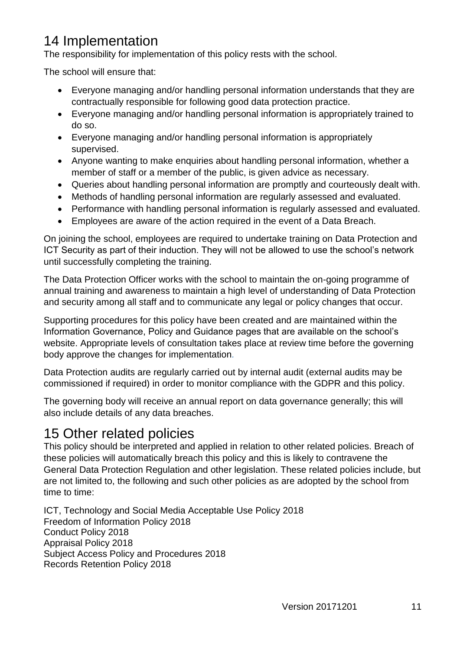## <span id="page-13-0"></span>14 Implementation

The responsibility for implementation of this policy rests with the school.

The school will ensure that:

- Everyone managing and/or handling personal information understands that they are contractually responsible for following good data protection practice.
- Everyone managing and/or handling personal information is appropriately trained to do so.
- Everyone managing and/or handling personal information is appropriately supervised.
- Anyone wanting to make enquiries about handling personal information, whether a member of staff or a member of the public, is given advice as necessary.
- Queries about handling personal information are promptly and courteously dealt with.
- Methods of handling personal information are regularly assessed and evaluated.
- Performance with handling personal information is regularly assessed and evaluated.
- Employees are aware of the action required in the event of a Data Breach.

On joining the school, employees are required to undertake training on Data Protection and ICT Security as part of their induction. They will not be allowed to use the school's network until successfully completing the training.

The Data Protection Officer works with the school to maintain the on-going programme of annual training and awareness to maintain a high level of understanding of Data Protection and security among all staff and to communicate any legal or policy changes that occur.

Supporting procedures for this policy have been created and are maintained within the Information Governance, Policy and Guidance pages that are available on the school's website. Appropriate levels of consultation takes place at review time before the governing body approve the changes for implementation*.* 

Data Protection audits are regularly carried out by internal audit (external audits may be commissioned if required) in order to monitor compliance with the GDPR and this policy.

The governing body will receive an annual report on data governance generally; this will also include details of any data breaches.

### <span id="page-13-1"></span>15 Other related policies

This policy should be interpreted and applied in relation to other related policies. Breach of these policies will automatically breach this policy and this is likely to contravene the General Data Protection Regulation and other legislation. These related policies include, but are not limited to, the following and such other policies as are adopted by the school from time to time:

ICT, Technology and Social Media Acceptable Use Policy 2018 Freedom of Information Policy 2018 Conduct Policy 2018 Appraisal Policy 2018 Subject Access Policy and Procedures 2018 Records Retention Policy 2018